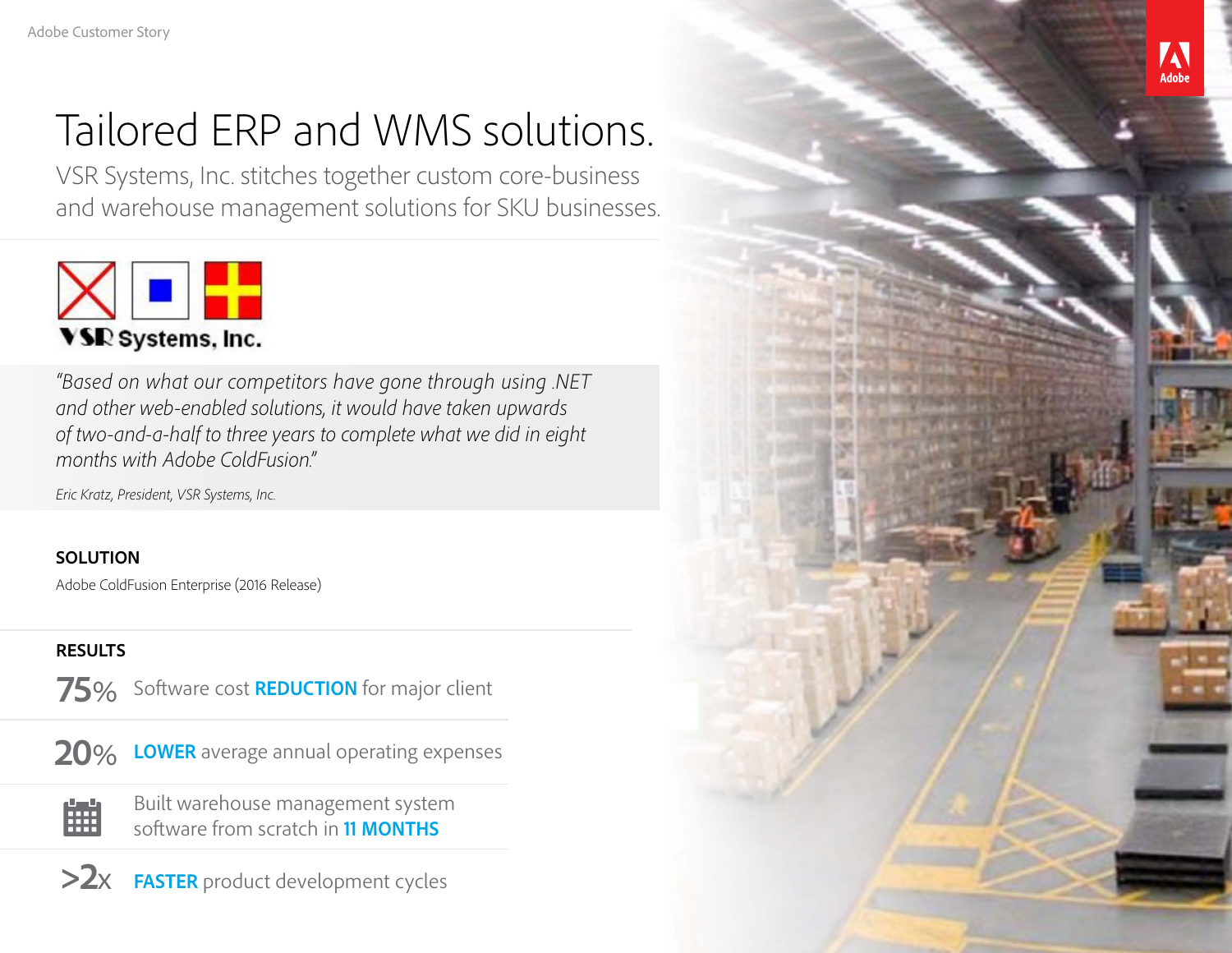# Tailored ERP and WMS solutions.

VSR Systems, Inc. stitches together custom core-business and warehouse management solutions for SKU businesses.



*"Based on what our competitors have gone through using .NET and other web-enabled solutions, it would have taken upwards of two-and-a-half to three years to complete what we did in eight months with Adobe ColdFusion."*

*Eric Kratz, President, VSR Systems, Inc.*

#### **SOLUTION**

Adobe ColdFusion Enterprise (2016 Release)

### **RESULTS**

75% Software cost **REDUCTION** for major client



雦

**LOWER** average annual operating expenses **20**%

Built warehouse management system software from scratch in **11 MONTHS**

**>2**x **FASTER** product development cycles

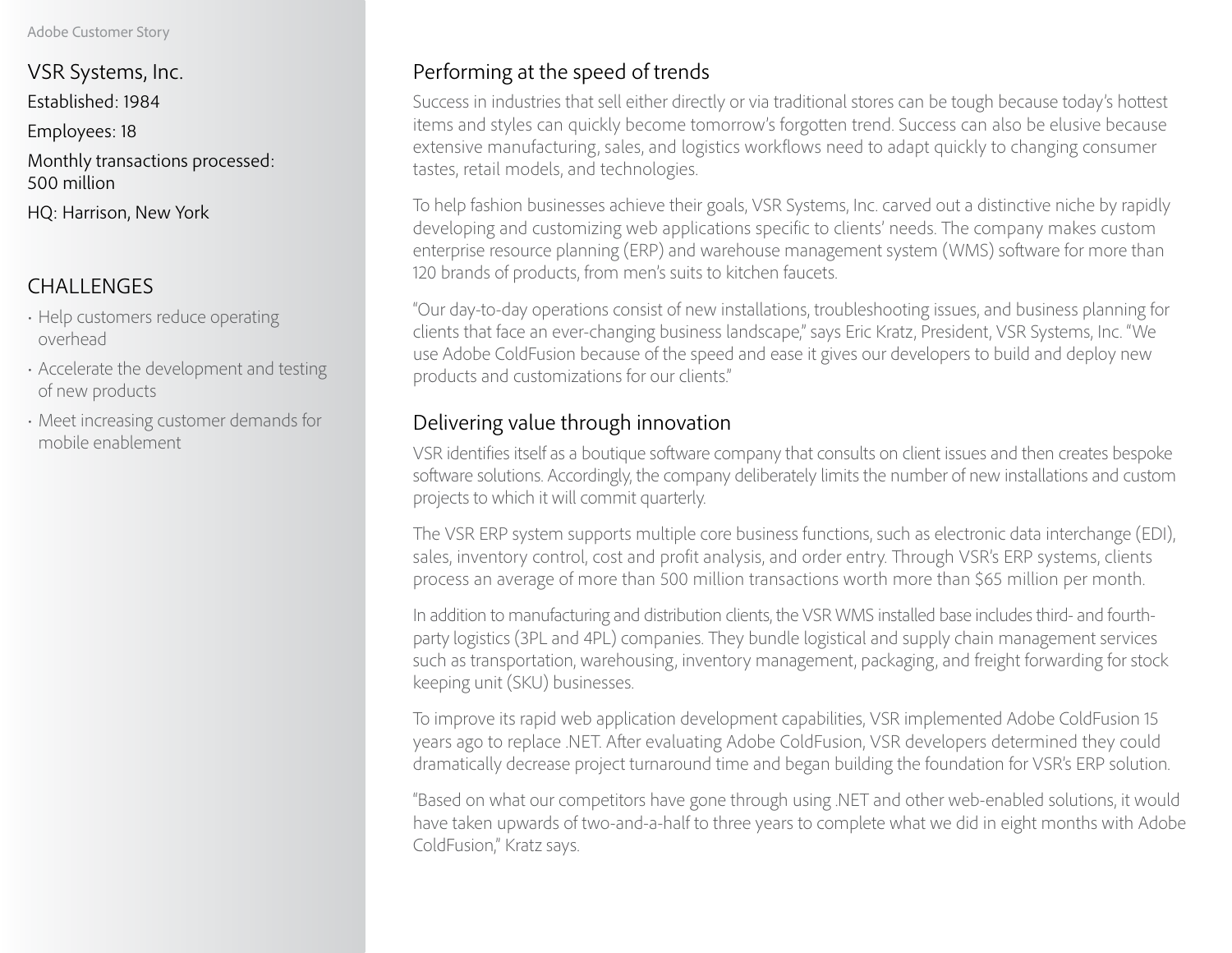#### Adobe Customer Story

VSR Systems, Inc. Established: 1984 Employees: 18 Monthly transactions processed: 500 million HQ: Harrison, New York

## CHALLENGES

- Help customers reduce operating overhead
- Accelerate the development and testing of new products
- Meet increasing customer demands for mobile enablement

# Performing at the speed of trends

Success in industries that sell either directly or via traditional stores can be tough because today's hottest items and styles can quickly become tomorrow's forgotten trend. Success can also be elusive because extensive manufacturing, sales, and logistics workflows need to adapt quickly to changing consumer tastes, retail models, and technologies.

To help fashion businesses achieve their goals, VSR Systems, Inc. carved out a distinctive niche by rapidly developing and customizing web applications specific to clients' needs. The company makes custom enterprise resource planning (ERP) and warehouse management system (WMS) software for more than 120 brands of products, from men's suits to kitchen faucets.

"Our day-to-day operations consist of new installations, troubleshooting issues, and business planning for clients that face an ever-changing business landscape," says Eric Kratz, President, VSR Systems, Inc. "We use Adobe ColdFusion because of the speed and ease it gives our developers to build and deploy new products and customizations for our clients."

# Delivering value through innovation

VSR identifies itself as a boutique software company that consults on client issues and then creates bespoke software solutions. Accordingly, the company deliberately limits the number of new installations and custom projects to which it will commit quarterly.

The VSR ERP system supports multiple core business functions, such as electronic data interchange (EDI), sales, inventory control, cost and profit analysis, and order entry. Through VSR's ERP systems, clients process an average of more than 500 million transactions worth more than \$65 million per month.

In addition to manufacturing and distribution clients, the VSR WMS installed base includes third- and fourthparty logistics (3PL and 4PL) companies. They bundle logistical and supply chain management services such as transportation, warehousing, inventory management, packaging, and freight forwarding for stock keeping unit (SKU) businesses.

To improve its rapid web application development capabilities, VSR implemented Adobe ColdFusion 15 years ago to replace .NET. After evaluating Adobe ColdFusion, VSR developers determined they could dramatically decrease project turnaround time and began building the foundation for VSR's ERP solution.

"Based on what our competitors have gone through using .NET and other web-enabled solutions, it would have taken upwards of two-and-a-half to three years to complete what we did in eight months with Adobe ColdFusion," Kratz says.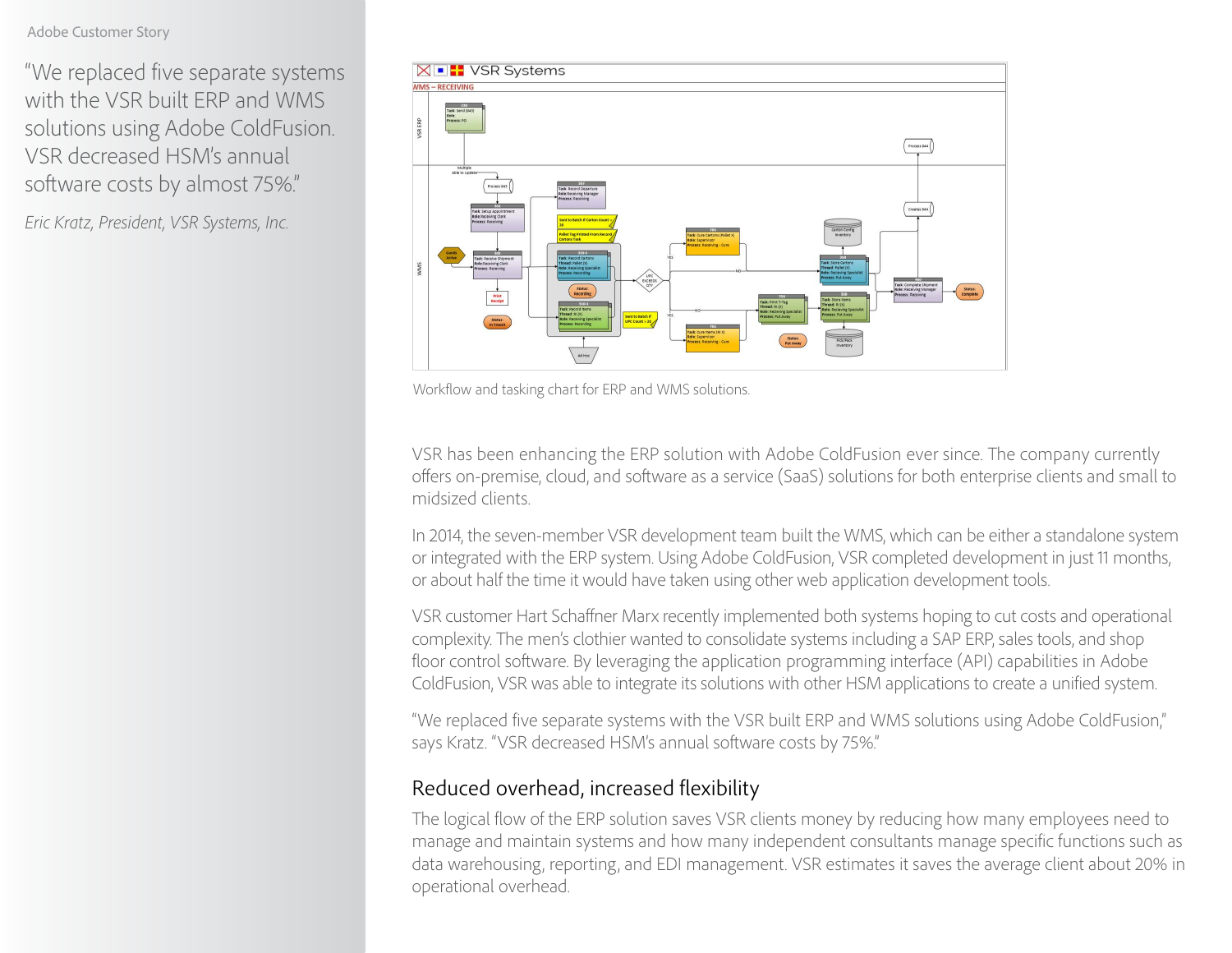#### Adobe Customer Story

"We replaced five separate systems with the VSR built ERP and WMS solutions using Adobe ColdFusion. VSR decreased HSM's annual software costs by almost 75%."

*Eric Kratz, President, VSR Systems, Inc.*



Workflow and tasking chart for ERP and WMS solutions.

VSR has been enhancing the ERP solution with Adobe ColdFusion ever since. The company currently offers on-premise, cloud, and software as a service (SaaS) solutions for both enterprise clients and small to midsized clients.

In 2014, the seven-member VSR development team built the WMS, which can be either a standalone system or integrated with the ERP system. Using Adobe ColdFusion, VSR completed development in just 11 months, or about half the time it would have taken using other web application development tools.

VSR customer Hart Schaffner Marx recently implemented both systems hoping to cut costs and operational complexity. The men's clothier wanted to consolidate systems including a SAP ERP, sales tools, and shop floor control software. By leveraging the application programming interface (API) capabilities in Adobe ColdFusion, VSR was able to integrate its solutions with other HSM applications to create a unified system.

"We replaced five separate systems with the VSR built ERP and WMS solutions using Adobe ColdFusion," says Kratz. "VSR decreased HSM's annual software costs by 75%."

#### Reduced overhead, increased flexibility

The logical flow of the ERP solution saves VSR clients money by reducing how many employees need to manage and maintain systems and how many independent consultants manage specific functions such as data warehousing, reporting, and EDI management. VSR estimates it saves the average client about 20% in operational overhead.